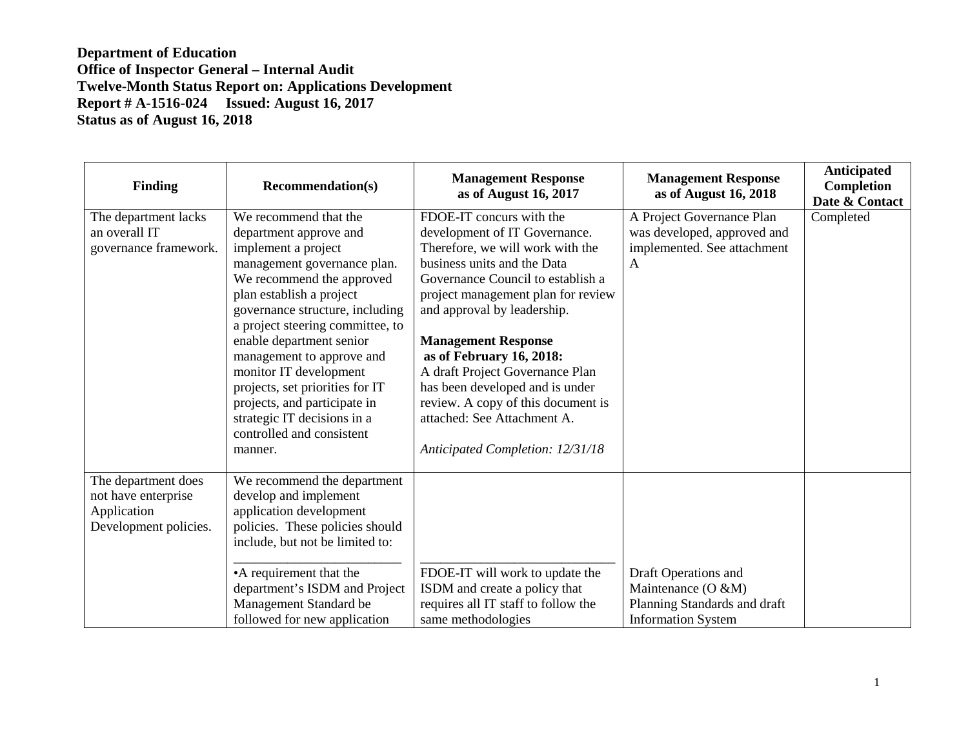| <b>Finding</b>                                                                     | <b>Recommendation(s)</b>                                                                                                                                                                                                                                                                                                                                                                                                                                           | <b>Management Response</b><br>as of August 16, 2017                                                                                                                                                                                                                                                                                                                                                                                                                             | <b>Management Response</b><br>as of August 16, 2018                                                        | Anticipated<br>Completion<br>Date & Contact |
|------------------------------------------------------------------------------------|--------------------------------------------------------------------------------------------------------------------------------------------------------------------------------------------------------------------------------------------------------------------------------------------------------------------------------------------------------------------------------------------------------------------------------------------------------------------|---------------------------------------------------------------------------------------------------------------------------------------------------------------------------------------------------------------------------------------------------------------------------------------------------------------------------------------------------------------------------------------------------------------------------------------------------------------------------------|------------------------------------------------------------------------------------------------------------|---------------------------------------------|
| The department lacks<br>an overall IT<br>governance framework.                     | We recommend that the<br>department approve and<br>implement a project<br>management governance plan.<br>We recommend the approved<br>plan establish a project<br>governance structure, including<br>a project steering committee, to<br>enable department senior<br>management to approve and<br>monitor IT development<br>projects, set priorities for IT<br>projects, and participate in<br>strategic IT decisions in a<br>controlled and consistent<br>manner. | FDOE-IT concurs with the<br>development of IT Governance.<br>Therefore, we will work with the<br>business units and the Data<br>Governance Council to establish a<br>project management plan for review<br>and approval by leadership.<br><b>Management Response</b><br>as of February 16, 2018:<br>A draft Project Governance Plan<br>has been developed and is under<br>review. A copy of this document is<br>attached: See Attachment A.<br>Anticipated Completion: 12/31/18 | A Project Governance Plan<br>was developed, approved and<br>implemented. See attachment<br>$\mathsf{A}$    | Completed                                   |
| The department does<br>not have enterprise<br>Application<br>Development policies. | We recommend the department<br>develop and implement<br>application development<br>policies. These policies should<br>include, but not be limited to:<br>•A requirement that the<br>department's ISDM and Project<br>Management Standard be<br>followed for new application                                                                                                                                                                                        | FDOE-IT will work to update the<br>ISDM and create a policy that<br>requires all IT staff to follow the<br>same methodologies                                                                                                                                                                                                                                                                                                                                                   | Draft Operations and<br>Maintenance $(O & M)$<br>Planning Standards and draft<br><b>Information System</b> |                                             |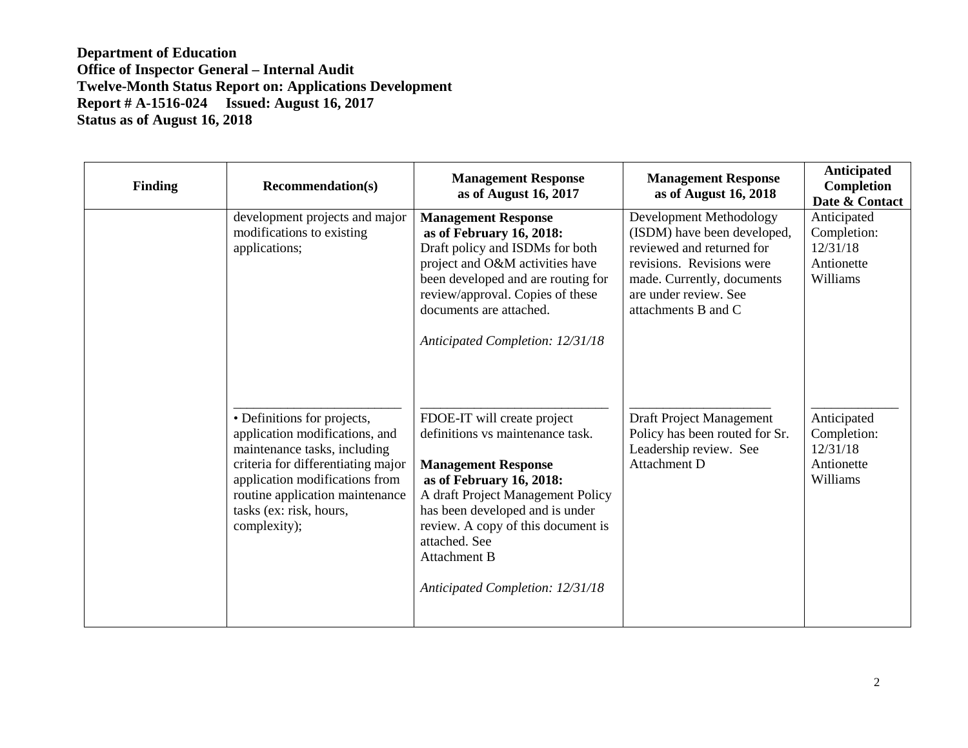| <b>Finding</b> | <b>Recommendation(s)</b>                                                                                                                                                                                                                            | <b>Management Response</b><br>as of August 16, 2017                                                                                                                                                                                                                                                                 | <b>Management Response</b><br>as of August 16, 2018                                                                                                                                            | Anticipated<br>Completion<br>Date & Contact                      |
|----------------|-----------------------------------------------------------------------------------------------------------------------------------------------------------------------------------------------------------------------------------------------------|---------------------------------------------------------------------------------------------------------------------------------------------------------------------------------------------------------------------------------------------------------------------------------------------------------------------|------------------------------------------------------------------------------------------------------------------------------------------------------------------------------------------------|------------------------------------------------------------------|
|                | development projects and major<br>modifications to existing<br>applications;                                                                                                                                                                        | <b>Management Response</b><br>as of February 16, 2018:<br>Draft policy and ISDMs for both<br>project and O&M activities have<br>been developed and are routing for<br>review/approval. Copies of these<br>documents are attached.<br>Anticipated Completion: 12/31/18                                               | Development Methodology<br>(ISDM) have been developed,<br>reviewed and returned for<br>revisions. Revisions were<br>made. Currently, documents<br>are under review. See<br>attachments B and C | Anticipated<br>Completion:<br>12/31/18<br>Antionette<br>Williams |
|                | • Definitions for projects,<br>application modifications, and<br>maintenance tasks, including<br>criteria for differentiating major<br>application modifications from<br>routine application maintenance<br>tasks (ex: risk, hours,<br>complexity); | FDOE-IT will create project<br>definitions vs maintenance task.<br><b>Management Response</b><br>as of February 16, 2018:<br>A draft Project Management Policy<br>has been developed and is under<br>review. A copy of this document is<br>attached. See<br><b>Attachment B</b><br>Anticipated Completion: 12/31/18 | Draft Project Management<br>Policy has been routed for Sr.<br>Leadership review. See<br>Attachment D                                                                                           | Anticipated<br>Completion:<br>12/31/18<br>Antionette<br>Williams |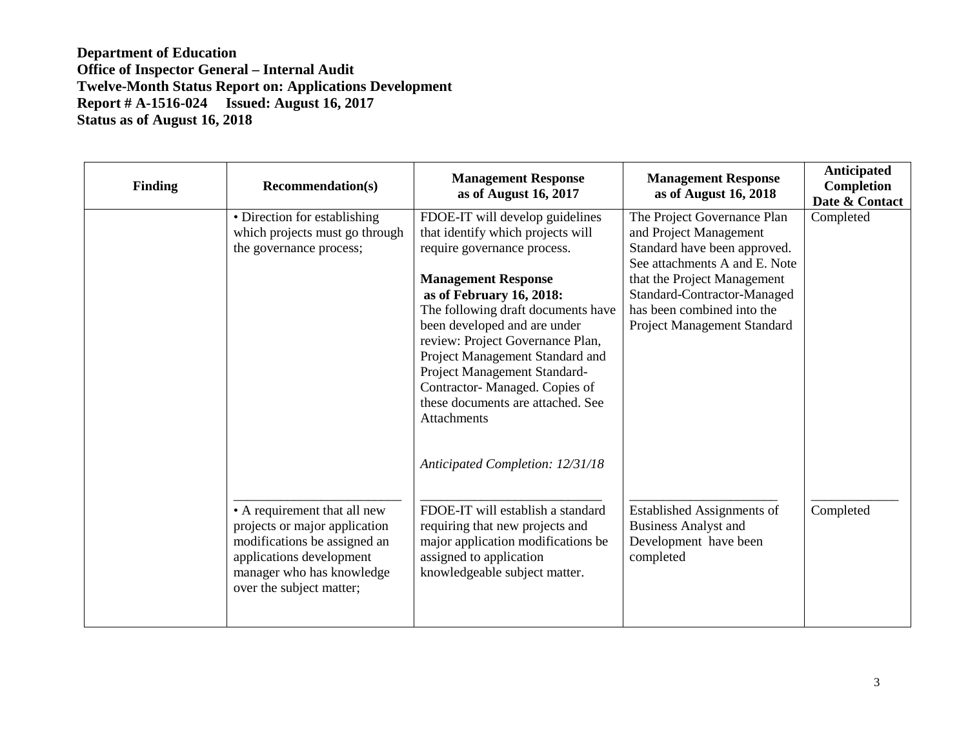| <b>Finding</b> | <b>Recommendation(s)</b>                                                                                                                                                           | <b>Management Response</b><br>as of August 16, 2017                                                                                                                                                                                                                                                                                                                                                                             | <b>Management Response</b><br>as of August 16, 2018                                                                                                                                                                                               | Anticipated<br>Completion<br>Date & Contact |
|----------------|------------------------------------------------------------------------------------------------------------------------------------------------------------------------------------|---------------------------------------------------------------------------------------------------------------------------------------------------------------------------------------------------------------------------------------------------------------------------------------------------------------------------------------------------------------------------------------------------------------------------------|---------------------------------------------------------------------------------------------------------------------------------------------------------------------------------------------------------------------------------------------------|---------------------------------------------|
|                | • Direction for establishing<br>which projects must go through<br>the governance process;                                                                                          | FDOE-IT will develop guidelines<br>that identify which projects will<br>require governance process.<br><b>Management Response</b><br>as of February 16, 2018:<br>The following draft documents have<br>been developed and are under<br>review: Project Governance Plan,<br>Project Management Standard and<br>Project Management Standard-<br>Contractor-Managed. Copies of<br>these documents are attached. See<br>Attachments | The Project Governance Plan<br>and Project Management<br>Standard have been approved.<br>See attachments A and E. Note<br>that the Project Management<br>Standard-Contractor-Managed<br>has been combined into the<br>Project Management Standard | Completed                                   |
|                | • A requirement that all new<br>projects or major application<br>modifications be assigned an<br>applications development<br>manager who has knowledge<br>over the subject matter; | Anticipated Completion: 12/31/18<br>FDOE-IT will establish a standard<br>requiring that new projects and<br>major application modifications be<br>assigned to application<br>knowledgeable subject matter.                                                                                                                                                                                                                      | <b>Established Assignments of</b><br><b>Business Analyst and</b><br>Development have been<br>completed                                                                                                                                            | Completed                                   |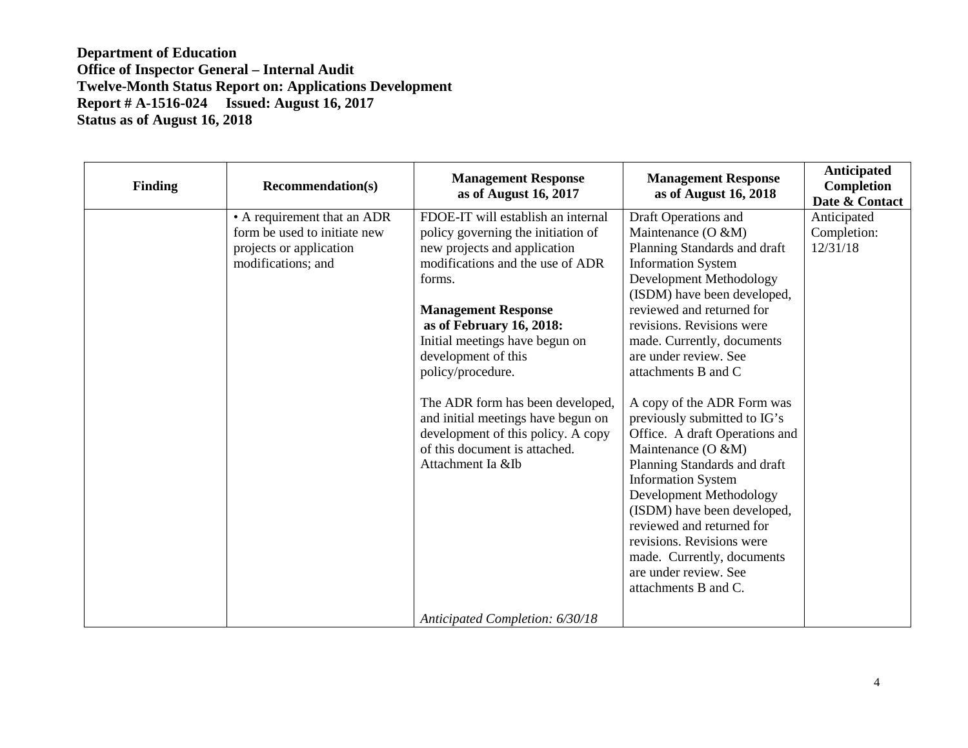| <b>Finding</b> | <b>Recommendation(s)</b>                                                                                     | <b>Management Response</b><br>as of August 16, 2017                                                                                                                                                                                                                                                                                                                                                                                                                  | <b>Management Response</b><br>as of August 16, 2018                                                                                                                                                                                                                                                                                                                                                                                                                                                                                                                                                                                                                                             | Anticipated<br>Completion<br>Date & Contact |
|----------------|--------------------------------------------------------------------------------------------------------------|----------------------------------------------------------------------------------------------------------------------------------------------------------------------------------------------------------------------------------------------------------------------------------------------------------------------------------------------------------------------------------------------------------------------------------------------------------------------|-------------------------------------------------------------------------------------------------------------------------------------------------------------------------------------------------------------------------------------------------------------------------------------------------------------------------------------------------------------------------------------------------------------------------------------------------------------------------------------------------------------------------------------------------------------------------------------------------------------------------------------------------------------------------------------------------|---------------------------------------------|
|                | • A requirement that an ADR<br>form be used to initiate new<br>projects or application<br>modifications; and | FDOE-IT will establish an internal<br>policy governing the initiation of<br>new projects and application<br>modifications and the use of ADR<br>forms.<br><b>Management Response</b><br>as of February 16, 2018:<br>Initial meetings have begun on<br>development of this<br>policy/procedure.<br>The ADR form has been developed,<br>and initial meetings have begun on<br>development of this policy. A copy<br>of this document is attached.<br>Attachment Ia &Ib | Draft Operations and<br>Maintenance (O &M)<br>Planning Standards and draft<br><b>Information System</b><br>Development Methodology<br>(ISDM) have been developed,<br>reviewed and returned for<br>revisions. Revisions were<br>made. Currently, documents<br>are under review. See<br>attachments B and C<br>A copy of the ADR Form was<br>previously submitted to IG's<br>Office. A draft Operations and<br>Maintenance (O &M)<br>Planning Standards and draft<br><b>Information System</b><br>Development Methodology<br>(ISDM) have been developed,<br>reviewed and returned for<br>revisions. Revisions were<br>made. Currently, documents<br>are under review. See<br>attachments B and C. | Anticipated<br>Completion:<br>12/31/18      |
|                |                                                                                                              | Anticipated Completion: 6/30/18                                                                                                                                                                                                                                                                                                                                                                                                                                      |                                                                                                                                                                                                                                                                                                                                                                                                                                                                                                                                                                                                                                                                                                 |                                             |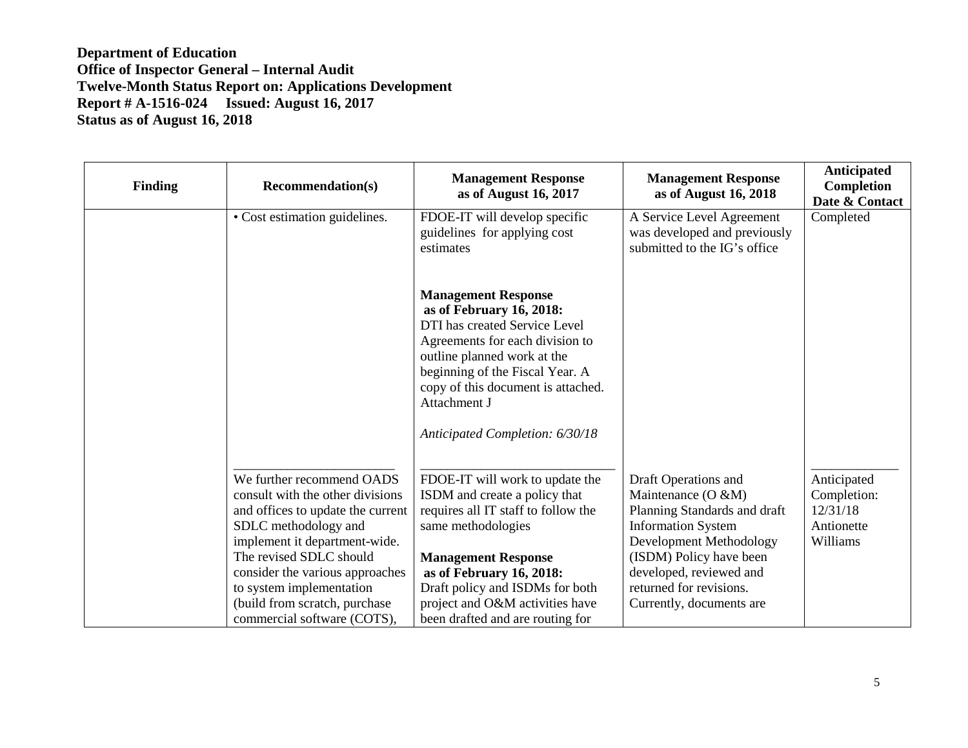| <b>Finding</b> | <b>Recommendation(s)</b>                                                                                                                                                                                                                                                                                              | <b>Management Response</b><br>as of August 16, 2017                                                                                                                                                                                                                                               | <b>Management Response</b><br>as of August 16, 2018                                                                                                                                                                                                | Anticipated<br>Completion<br>Date & Contact                      |
|----------------|-----------------------------------------------------------------------------------------------------------------------------------------------------------------------------------------------------------------------------------------------------------------------------------------------------------------------|---------------------------------------------------------------------------------------------------------------------------------------------------------------------------------------------------------------------------------------------------------------------------------------------------|----------------------------------------------------------------------------------------------------------------------------------------------------------------------------------------------------------------------------------------------------|------------------------------------------------------------------|
|                | • Cost estimation guidelines.                                                                                                                                                                                                                                                                                         | FDOE-IT will develop specific<br>guidelines for applying cost<br>estimates                                                                                                                                                                                                                        | A Service Level Agreement<br>was developed and previously<br>submitted to the IG's office                                                                                                                                                          | Completed                                                        |
|                |                                                                                                                                                                                                                                                                                                                       | <b>Management Response</b><br>as of February 16, 2018:<br>DTI has created Service Level<br>Agreements for each division to<br>outline planned work at the<br>beginning of the Fiscal Year. A<br>copy of this document is attached.<br>Attachment J<br>Anticipated Completion: 6/30/18             |                                                                                                                                                                                                                                                    |                                                                  |
|                | We further recommend OADS<br>consult with the other divisions<br>and offices to update the current<br>SDLC methodology and<br>implement it department-wide.<br>The revised SDLC should<br>consider the various approaches<br>to system implementation<br>(build from scratch, purchase<br>commercial software (COTS), | FDOE-IT will work to update the<br>ISDM and create a policy that<br>requires all IT staff to follow the<br>same methodologies<br><b>Management Response</b><br>as of February 16, 2018:<br>Draft policy and ISDMs for both<br>project and O&M activities have<br>been drafted and are routing for | Draft Operations and<br>Maintenance $(O & M)$<br>Planning Standards and draft<br><b>Information System</b><br>Development Methodology<br>(ISDM) Policy have been<br>developed, reviewed and<br>returned for revisions.<br>Currently, documents are | Anticipated<br>Completion:<br>12/31/18<br>Antionette<br>Williams |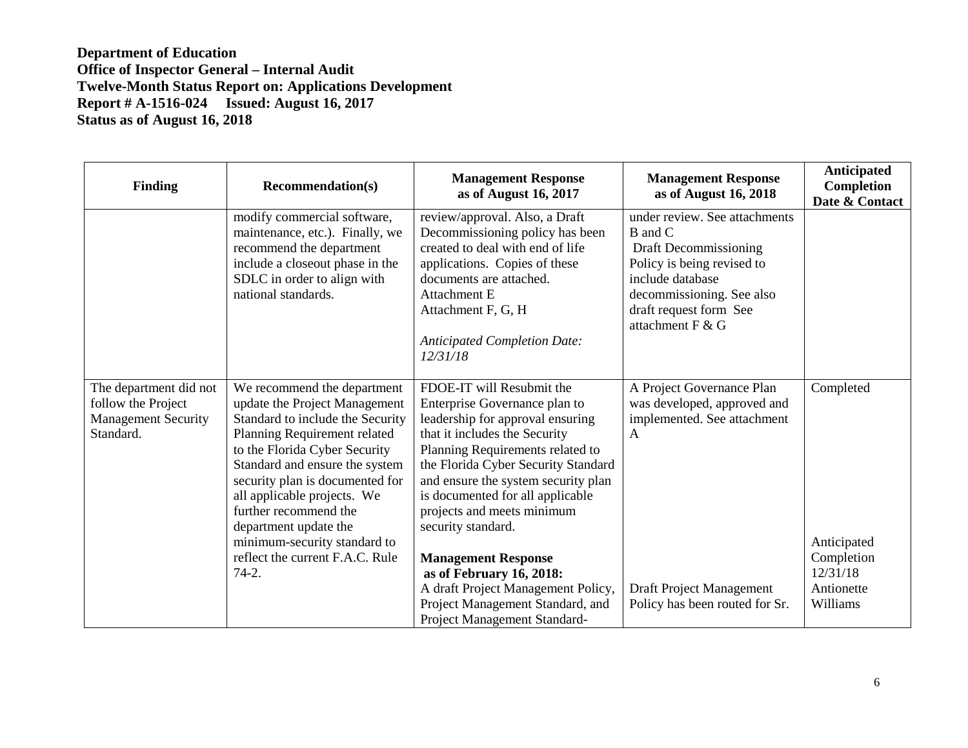| <b>Finding</b>                                                                          | <b>Recommendation(s)</b>                                                                                                                                                                                                                                                                                                                                                                              | <b>Management Response</b><br>as of August 16, 2017                                                                                                                                                                                                                                                                                                                                                                                                                                                           | <b>Management Response</b><br>as of August 16, 2018                                                                                                                                            | Anticipated<br>Completion<br>Date & Contact                                  |
|-----------------------------------------------------------------------------------------|-------------------------------------------------------------------------------------------------------------------------------------------------------------------------------------------------------------------------------------------------------------------------------------------------------------------------------------------------------------------------------------------------------|---------------------------------------------------------------------------------------------------------------------------------------------------------------------------------------------------------------------------------------------------------------------------------------------------------------------------------------------------------------------------------------------------------------------------------------------------------------------------------------------------------------|------------------------------------------------------------------------------------------------------------------------------------------------------------------------------------------------|------------------------------------------------------------------------------|
|                                                                                         | modify commercial software,<br>maintenance, etc.). Finally, we<br>recommend the department<br>include a closeout phase in the<br>SDLC in order to align with<br>national standards.                                                                                                                                                                                                                   | review/approval. Also, a Draft<br>Decommissioning policy has been<br>created to deal with end of life<br>applications. Copies of these<br>documents are attached.<br><b>Attachment E</b><br>Attachment F, G, H<br><b>Anticipated Completion Date:</b><br>12/31/18                                                                                                                                                                                                                                             | under review. See attachments<br>B and C<br>Draft Decommissioning<br>Policy is being revised to<br>include database<br>decommissioning. See also<br>draft request form See<br>attachment F & G |                                                                              |
| The department did not<br>follow the Project<br><b>Management Security</b><br>Standard. | We recommend the department<br>update the Project Management<br>Standard to include the Security<br>Planning Requirement related<br>to the Florida Cyber Security<br>Standard and ensure the system<br>security plan is documented for<br>all applicable projects. We<br>further recommend the<br>department update the<br>minimum-security standard to<br>reflect the current F.A.C. Rule<br>$74-2.$ | FDOE-IT will Resubmit the<br>Enterprise Governance plan to<br>leadership for approval ensuring<br>that it includes the Security<br>Planning Requirements related to<br>the Florida Cyber Security Standard<br>and ensure the system security plan<br>is documented for all applicable<br>projects and meets minimum<br>security standard.<br><b>Management Response</b><br>as of February 16, 2018:<br>A draft Project Management Policy,<br>Project Management Standard, and<br>Project Management Standard- | A Project Governance Plan<br>was developed, approved and<br>implemented. See attachment<br>$\mathbf{A}$<br>Draft Project Management<br>Policy has been routed for Sr.                          | Completed<br>Anticipated<br>Completion<br>12/31/18<br>Antionette<br>Williams |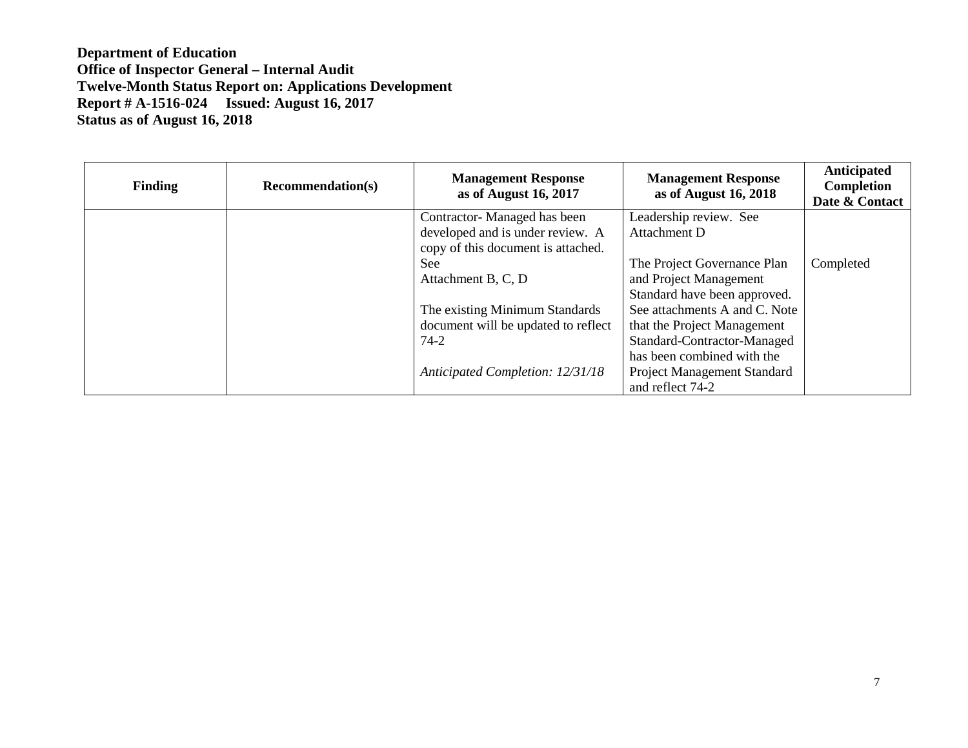| <b>Finding</b> | <b>Recommendation(s)</b> | <b>Management Response</b><br>as of August 16, 2017 | <b>Management Response</b><br>as of August 16, 2018 | Anticipated<br>Completion<br>Date & Contact |
|----------------|--------------------------|-----------------------------------------------------|-----------------------------------------------------|---------------------------------------------|
|                |                          | Contractor-Managed has been                         | Leadership review. See                              |                                             |
|                |                          | developed and is under review. A                    | Attachment D                                        |                                             |
|                |                          | copy of this document is attached.                  |                                                     |                                             |
|                |                          | <b>See</b>                                          | The Project Governance Plan                         | Completed                                   |
|                |                          | Attachment B, C, D                                  | and Project Management                              |                                             |
|                |                          |                                                     | Standard have been approved.                        |                                             |
|                |                          | The existing Minimum Standards                      | See attachments A and C. Note                       |                                             |
|                |                          | document will be updated to reflect                 | that the Project Management                         |                                             |
|                |                          | $74 - 2$                                            | Standard-Contractor-Managed                         |                                             |
|                |                          |                                                     | has been combined with the                          |                                             |
|                |                          | Anticipated Completion: 12/31/18                    | Project Management Standard                         |                                             |
|                |                          |                                                     | and reflect 74-2                                    |                                             |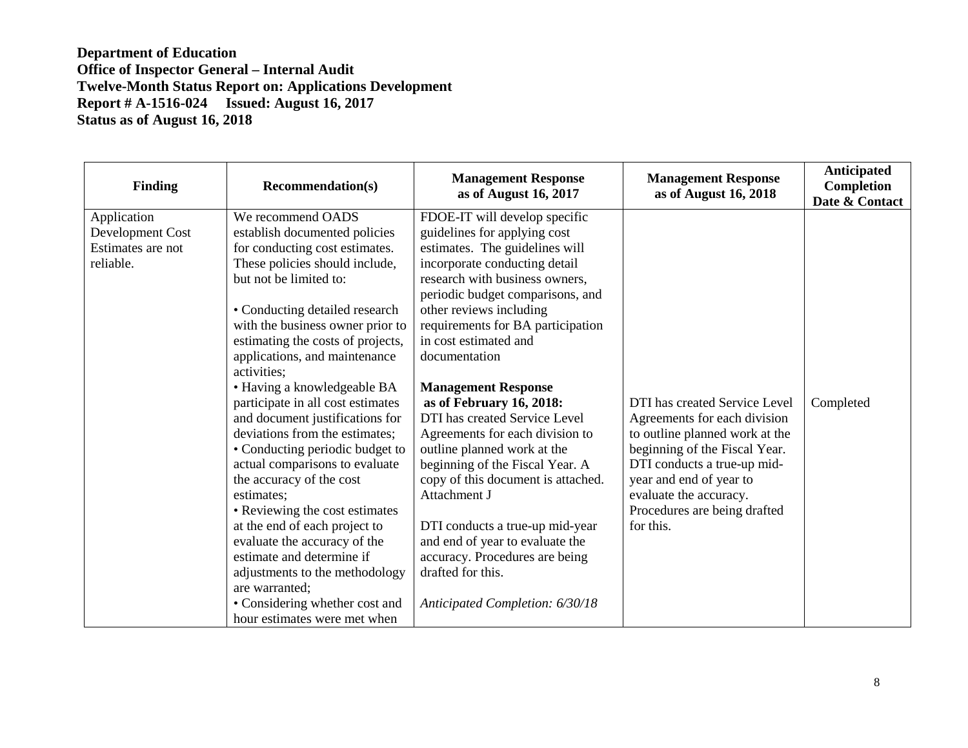| Finding                                                           | <b>Recommendation(s)</b>                                                                                                                                                                                                                                                                                                                                                                                                                                                                                                                                                                                                                                                                                                                                                                  | <b>Management Response</b><br>as of August 16, 2017                                                                                                                                                                                                                                                                                                                                                                                                                                                                                                                                                                                                                                                                                    | <b>Management Response</b><br>as of August 16, 2018                                                                                                                                                                                                               | <b>Anticipated</b><br>Completion<br>Date & Contact |
|-------------------------------------------------------------------|-------------------------------------------------------------------------------------------------------------------------------------------------------------------------------------------------------------------------------------------------------------------------------------------------------------------------------------------------------------------------------------------------------------------------------------------------------------------------------------------------------------------------------------------------------------------------------------------------------------------------------------------------------------------------------------------------------------------------------------------------------------------------------------------|----------------------------------------------------------------------------------------------------------------------------------------------------------------------------------------------------------------------------------------------------------------------------------------------------------------------------------------------------------------------------------------------------------------------------------------------------------------------------------------------------------------------------------------------------------------------------------------------------------------------------------------------------------------------------------------------------------------------------------------|-------------------------------------------------------------------------------------------------------------------------------------------------------------------------------------------------------------------------------------------------------------------|----------------------------------------------------|
| Application<br>Development Cost<br>Estimates are not<br>reliable. | We recommend OADS<br>establish documented policies<br>for conducting cost estimates.<br>These policies should include,<br>but not be limited to:<br>• Conducting detailed research<br>with the business owner prior to<br>estimating the costs of projects,<br>applications, and maintenance<br>activities:<br>• Having a knowledgeable BA<br>participate in all cost estimates<br>and document justifications for<br>deviations from the estimates;<br>• Conducting periodic budget to<br>actual comparisons to evaluate<br>the accuracy of the cost<br>estimates;<br>• Reviewing the cost estimates<br>at the end of each project to<br>evaluate the accuracy of the<br>estimate and determine if<br>adjustments to the methodology<br>are warranted;<br>• Considering whether cost and | FDOE-IT will develop specific<br>guidelines for applying cost<br>estimates. The guidelines will<br>incorporate conducting detail<br>research with business owners,<br>periodic budget comparisons, and<br>other reviews including<br>requirements for BA participation<br>in cost estimated and<br>documentation<br><b>Management Response</b><br>as of February 16, 2018:<br>DTI has created Service Level<br>Agreements for each division to<br>outline planned work at the<br>beginning of the Fiscal Year. A<br>copy of this document is attached.<br>Attachment J<br>DTI conducts a true-up mid-year<br>and end of year to evaluate the<br>accuracy. Procedures are being<br>drafted for this.<br>Anticipated Completion: 6/30/18 | DTI has created Service Level<br>Agreements for each division<br>to outline planned work at the<br>beginning of the Fiscal Year.<br>DTI conducts a true-up mid-<br>year and end of year to<br>evaluate the accuracy.<br>Procedures are being drafted<br>for this. | Completed                                          |
|                                                                   | hour estimates were met when                                                                                                                                                                                                                                                                                                                                                                                                                                                                                                                                                                                                                                                                                                                                                              |                                                                                                                                                                                                                                                                                                                                                                                                                                                                                                                                                                                                                                                                                                                                        |                                                                                                                                                                                                                                                                   |                                                    |